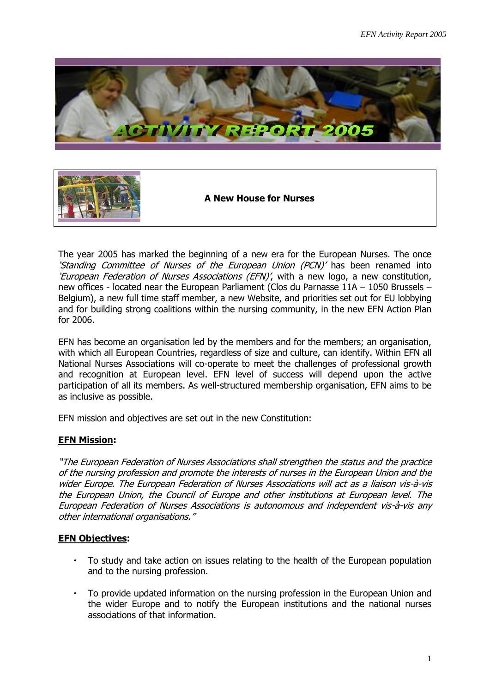



**A New House for Nurses**

The year 2005 has marked the beginning of a new era for the European Nurses. The once 'Standing Committee of Nurses of the European Union (PCN)' has been renamed into 'European Federation of Nurses Associations (EFN)', with a new logo, a new constitution, new offices - located near the European Parliament (Clos du Parnasse 11A – 1050 Brussels – Belgium), a new full time staff member, a new Website, and priorities set out for EU lobbying and for building strong coalitions within the nursing community, in the new EFN Action Plan for 2006.

EFN has become an organisation led by the members and for the members; an organisation, with which all European Countries, regardless of size and culture, can identify. Within EFN all National Nurses Associations will co-operate to meet the challenges of professional growth and recognition at European level. EFN level of success will depend upon the active participation of all its members. As well-structured membership organisation, EFN aims to be as inclusive as possible.

EFN mission and objectives are set out in the new Constitution:

# **EFN Mission:**

"The European Federation of Nurses Associations shall strengthen the status and the practice of the nursing profession and promote the interests of nurses in the European Union and the wider Europe. The European Federation of Nurses Associations will act as a liaison vis-à-vis the European Union, the Council of Europe and other institutions at European level. The European Federation of Nurses Associations is autonomous and independent vis-à-vis any other international organisations."

## **EFN Objectives:**

- To study and take action on issues relating to the health of the European population and to the nursing profession.
- To provide updated information on the nursing profession in the European Union and the wider Europe and to notify the European institutions and the national nurses associations of that information.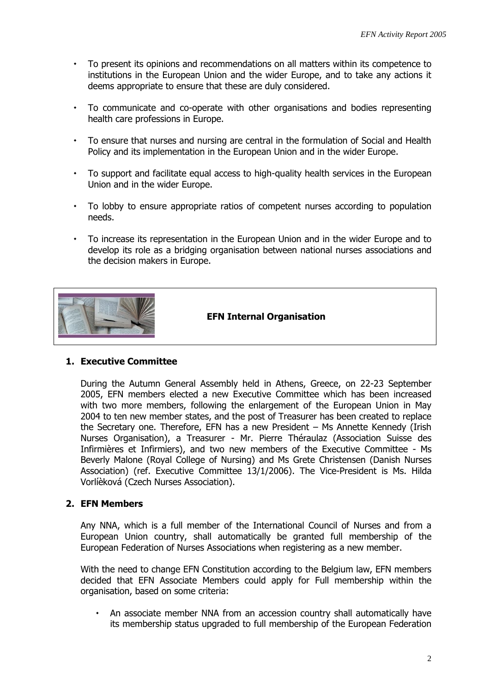- To present its opinions and recommendations on all matters within its competence to institutions in the European Union and the wider Europe, and to take any actions it deems appropriate to ensure that these are duly considered.
- To communicate and co-operate with other organisations and bodies representing health care professions in Europe.
- To ensure that nurses and nursing are central in the formulation of Social and Health Policy and its implementation in the European Union and in the wider Europe.
- To support and facilitate equal access to high-quality health services in the European Union and in the wider Europe.
- To lobby to ensure appropriate ratios of competent nurses according to population needs.
- To increase its representation in the European Union and in the wider Europe and to develop its role as a bridging organisation between national nurses associations and the decision makers in Europe.



 **EFN Internal Organisation**

## **1. Executive Committee**

During the Autumn General Assembly held in Athens, Greece, on 22-23 September 2005, EFN members elected a new Executive Committee which has been increased with two more members, following the enlargement of the European Union in May 2004 to ten new member states, and the post of Treasurer has been created to replace the Secretary one. Therefore, EFN has a new President – Ms Annette Kennedy (Irish Nurses Organisation), a Treasurer - Mr. Pierre Théraulaz (Association Suisse des Infirmières et Infirmiers), and two new members of the Executive Committee - Ms Beverly Malone (Royal College of Nursing) and Ms Grete Christensen (Danish Nurses Association) (ref. Executive Committee 13/1/2006). The Vice-President is Ms. Hilda Vorlíèková (Czech Nurses Association).

## **2. EFN Members**

Any NNA, which is a full member of the International Council of Nurses and from a European Union country, shall automatically be granted full membership of the European Federation of Nurses Associations when registering as a new member.

With the need to change EFN Constitution according to the Belgium law, EFN members decided that EFN Associate Members could apply for Full membership within the organisation, based on some criteria:

 An associate member NNA from an accession country shall automatically have its membership status upgraded to full membership of the European Federation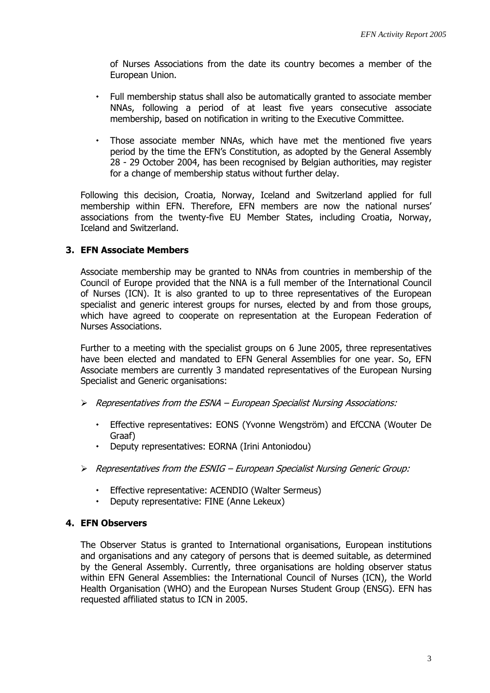of Nurses Associations from the date its country becomes a member of the European Union.

- Full membership status shall also be automatically granted to associate member NNAs, following a period of at least five years consecutive associate membership, based on notification in writing to the Executive Committee.
- Those associate member NNAs, which have met the mentioned five years period by the time the EFN's Constitution, as adopted by the General Assembly 28 - 29 October 2004, has been recognised by Belgian authorities, may register for a change of membership status without further delay.

Following this decision, Croatia, Norway, Iceland and Switzerland applied for full membership within EFN. Therefore, EFN members are now the national nurses' associations from the twenty-five EU Member States, including Croatia, Norway, Iceland and Switzerland.

## **3. EFN Associate Members**

Associate membership may be granted to NNAs from countries in membership of the Council of Europe provided that the NNA is a full member of the International Council of Nurses (ICN). It is also granted to up to three representatives of the European specialist and generic interest groups for nurses, elected by and from those groups, which have agreed to cooperate on representation at the European Federation of Nurses Associations.

Further to a meeting with the specialist groups on 6 June 2005, three representatives have been elected and mandated to EFN General Assemblies for one year. So, EFN Associate members are currently 3 mandated representatives of the European Nursing Specialist and Generic organisations:

- $\triangleright$  Representatives from the ESNA European Specialist Nursing Associations:
	- Effective representatives: EONS (Yvonne Wengström) and EfCCNA (Wouter De Graaf)
	- Deputy representatives: EORNA (Irini Antoniodou)
- Representatives from the ESNIG European Specialist Nursing Generic Group:
	- Effective representative: ACENDIO (Walter Sermeus)
	- Deputy representative: FINE (Anne Lekeux)

## **4. EFN Observers**

The Observer Status is granted to International organisations, European institutions and organisations and any category of persons that is deemed suitable, as determined by the General Assembly. Currently, three organisations are holding observer status within EFN General Assemblies: the International Council of Nurses (ICN), the World Health Organisation (WHO) and the European Nurses Student Group (ENSG). EFN has requested affiliated status to ICN in 2005.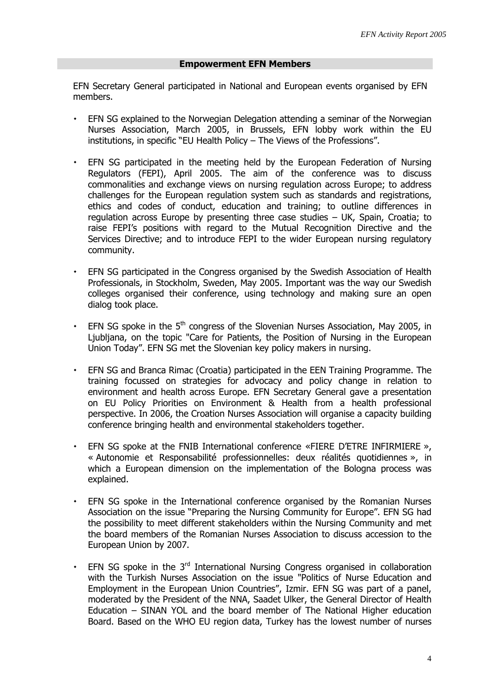### **Empowerment EFN Members**

EFN Secretary General participated in National and European events organised by EFN members.

- EFN SG explained to the Norwegian Delegation attending a seminar of the Norwegian Nurses Association, March 2005, in Brussels, EFN lobby work within the EU institutions, in specific "EU Health Policy – The Views of the Professions".
- EFN SG participated in the meeting held by the European Federation of Nursing Regulators (FEPI), April 2005. The aim of the conference was to discuss commonalities and exchange views on nursing regulation across Europe; to address challenges for the European regulation system such as standards and registrations, ethics and codes of conduct, education and training; to outline differences in regulation across Europe by presenting three case studies – UK, Spain, Croatia; to raise FEPI's positions with regard to the Mutual Recognition Directive and the Services Directive; and to introduce FEPI to the wider European nursing regulatory community.
- EFN SG participated in the Congress organised by the Swedish Association of Health Professionals, in Stockholm, Sweden, May 2005. Important was the way our Swedish colleges organised their conference, using technology and making sure an open dialog took place.
- $\cdot$  EFN SG spoke in the 5<sup>th</sup> congress of the Slovenian Nurses Association, May 2005, in Ljubljana, on the topic "Care for Patients, the Position of Nursing in the European Union Today". EFN SG met the Slovenian key policy makers in nursing.
- EFN SG and Branca Rimac (Croatia) participated in the EEN Training Programme. The training focussed on strategies for advocacy and policy change in relation to environment and health across Europe. EFN Secretary General gave a presentation on EU Policy Priorities on Environment & Health from a health professional perspective. In 2006, the Croation Nurses Association will organise a capacity building conference bringing health and environmental stakeholders together.
- EFN SG spoke at the FNIB International conference «FIERE D'ETRE INFIRMIERE », « Autonomie et Responsabilité professionnelles: deux réalités quotidiennes », in which a European dimension on the implementation of the Bologna process was explained.
- EFN SG spoke in the International conference organised by the Romanian Nurses Association on the issue "Preparing the Nursing Community for Europe". EFN SG had the possibility to meet different stakeholders within the Nursing Community and met the board members of the Romanian Nurses Association to discuss accession to the European Union by 2007.
- $\cdot$  EFN SG spoke in the 3<sup>rd</sup> International Nursing Congress organised in collaboration with the Turkish Nurses Association on the issue "Politics of Nurse Education and Employment in the European Union Countries", Izmir. EFN SG was part of a panel, moderated by the President of the NNA, Saadet Ulker, the General Director of Health Education – SINAN YOL and the board member of The National Higher education Board. Based on the WHO EU region data, Turkey has the lowest number of nurses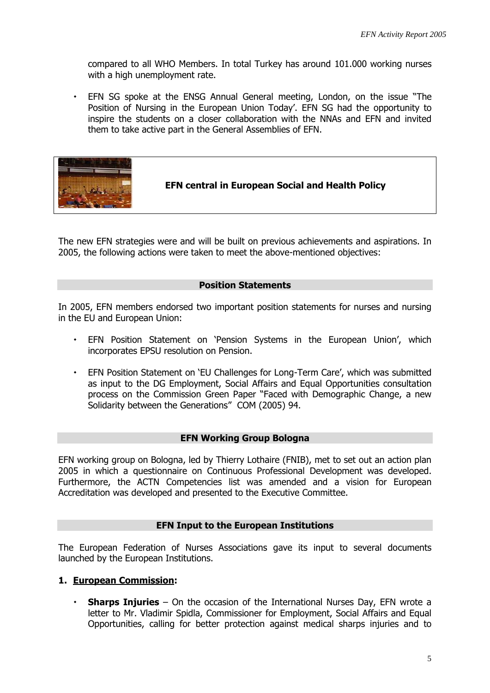compared to all WHO Members. In total Turkey has around 101.000 working nurses with a high unemployment rate.

 EFN SG spoke at the ENSG Annual General meeting, London, on the issue "The Position of Nursing in the European Union Today'. EFN SG had the opportunity to inspire the students on a closer collaboration with the NNAs and EFN and invited them to take active part in the General Assemblies of EFN.



The new EFN strategies were and will be built on previous achievements and aspirations. In 2005, the following actions were taken to meet the above-mentioned objectives:

## **Position Statements**

In 2005, EFN members endorsed two important position statements for nurses and nursing in the EU and European Union:

- EFN Position Statement on 'Pension Systems in the European Union', which incorporates EPSU resolution on Pension.
- EFN Position Statement on 'EU Challenges for Long-Term Care', which was submitted as input to the DG Employment, Social Affairs and Equal Opportunities consultation process on the Commission Green Paper "Faced with Demographic Change, a new Solidarity between the Generations" COM (2005) 94.

## **EFN Working Group Bologna**

EFN working group on Bologna, led by Thierry Lothaire (FNIB), met to set out an action plan 2005 in which a questionnaire on Continuous Professional Development was developed. Furthermore, the ACTN Competencies list was amended and a vision for European Accreditation was developed and presented to the Executive Committee.

## **EFN Input to the European Institutions**

The European Federation of Nurses Associations gave its input to several documents launched by the European Institutions.

## **1. European Commission:**

 **Sharps Injuries** – On the occasion of the International Nurses Day, EFN wrote a letter to Mr. Vladimir Spidla, Commissioner for Employment, Social Affairs and Equal Opportunities, calling for better protection against medical sharps injuries and to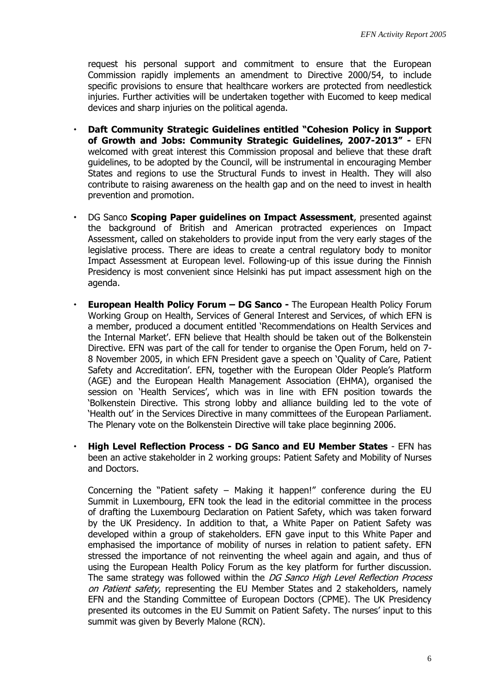request his personal support and commitment to ensure that the European Commission rapidly implements an amendment to Directive 2000/54, to include specific provisions to ensure that healthcare workers are protected from needlestick injuries. Further activities will be undertaken together with Eucomed to keep medical devices and sharp injuries on the political agenda.

- **Daft Community Strategic Guidelines entitled "Cohesion Policy in Support of Growth and Jobs: Community Strategic Guidelines, 2007-2013" -** EFN welcomed with great interest this Commission proposal and believe that these draft guidelines, to be adopted by the Council, will be instrumental in encouraging Member States and regions to use the Structural Funds to invest in Health. They will also contribute to raising awareness on the health gap and on the need to invest in health prevention and promotion.
- DG Sanco **Scoping Paper guidelines on Impact Assessment**, presented against the background of British and American protracted experiences on Impact Assessment, called on stakeholders to provide input from the very early stages of the legislative process. There are ideas to create a central regulatory body to monitor Impact Assessment at European level. Following-up of this issue during the Finnish Presidency is most convenient since Helsinki has put impact assessment high on the agenda.
- **European Health Policy Forum – DG Sanco -** The European Health Policy Forum Working Group on Health, Services of General Interest and Services, of which EFN is a member, produced a document entitled 'Recommendations on Health Services and the Internal Market'. EFN believe that Health should be taken out of the Bolkenstein Directive. EFN was part of the call for tender to organise the Open Forum, held on 7- 8 November 2005, in which EFN President gave a speech on 'Quality of Care, Patient Safety and Accreditation'. EFN, together with the European Older People's Platform (AGE) and the European Health Management Association (EHMA), organised the session on 'Health Services', which was in line with EFN position towards the 'Bolkenstein Directive. This strong lobby and alliance building led to the vote of 'Health out' in the Services Directive in many committees of the European Parliament. The Plenary vote on the Bolkenstein Directive will take place beginning 2006.
- **High Level Reflection Process - DG Sanco and EU Member States** EFN has been an active stakeholder in 2 working groups: Patient Safety and Mobility of Nurses and Doctors.

Concerning the "Patient safety – Making it happen!" conference during the EU Summit in Luxembourg, EFN took the lead in the editorial committee in the process of drafting the Luxembourg Declaration on Patient Safety, which was taken forward by the UK Presidency. In addition to that, a White Paper on Patient Safety was developed within a group of stakeholders. EFN gave input to this White Paper and emphasised the importance of mobility of nurses in relation to patient safety. EFN stressed the importance of not reinventing the wheel again and again, and thus of using the European Health Policy Forum as the key platform for further discussion. The same strategy was followed within the DG Sanco High Level Reflection Process on Patient safety, representing the EU Member States and 2 stakeholders, namely EFN and the Standing Committee of European Doctors (CPME). The UK Presidency presented its outcomes in the EU Summit on Patient Safety. The nurses' input to this summit was given by Beverly Malone (RCN).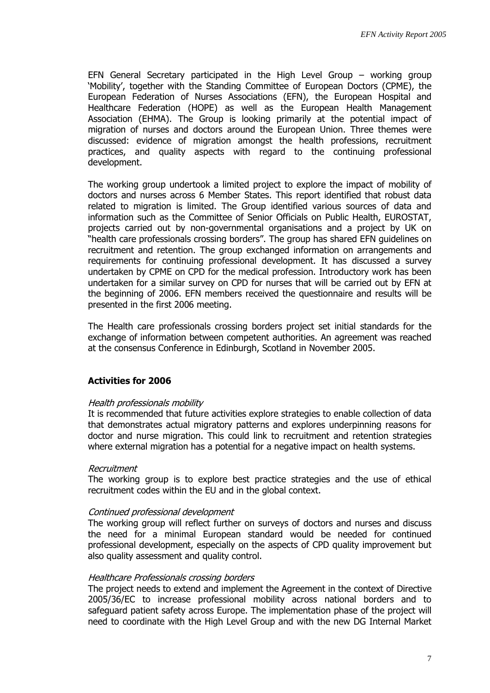EFN General Secretary participated in the High Level Group – working group 'Mobility', together with the Standing Committee of European Doctors (CPME), the European Federation of Nurses Associations (EFN), the European Hospital and Healthcare Federation (HOPE) as well as the European Health Management Association (EHMA). The Group is looking primarily at the potential impact of migration of nurses and doctors around the European Union. Three themes were discussed: evidence of migration amongst the health professions, recruitment practices, and quality aspects with regard to the continuing professional development.

The working group undertook a limited project to explore the impact of mobility of doctors and nurses across 6 Member States. This report identified that robust data related to migration is limited. The Group identified various sources of data and information such as the Committee of Senior Officials on Public Health, EUROSTAT, projects carried out by non-governmental organisations and a project by UK on "health care professionals crossing borders". The group has shared EFN guidelines on recruitment and retention. The group exchanged information on arrangements and requirements for continuing professional development. It has discussed a survey undertaken by CPME on CPD for the medical profession. Introductory work has been undertaken for a similar survey on CPD for nurses that will be carried out by EFN at the beginning of 2006. EFN members received the questionnaire and results will be presented in the first 2006 meeting.

The Health care professionals crossing borders project set initial standards for the exchange of information between competent authorities. An agreement was reached at the consensus Conference in Edinburgh, Scotland in November 2005.

## **Activities for 2006**

#### Health professionals mobility

It is recommended that future activities explore strategies to enable collection of data that demonstrates actual migratory patterns and explores underpinning reasons for doctor and nurse migration. This could link to recruitment and retention strategies where external migration has a potential for a negative impact on health systems.

#### Recruitment

The working group is to explore best practice strategies and the use of ethical recruitment codes within the EU and in the global context.

#### Continued professional development

The working group will reflect further on surveys of doctors and nurses and discuss the need for a minimal European standard would be needed for continued professional development, especially on the aspects of CPD quality improvement but also quality assessment and quality control.

#### Healthcare Professionals crossing borders

The project needs to extend and implement the Agreement in the context of Directive 2005/36/EC to increase professional mobility across national borders and to safeguard patient safety across Europe. The implementation phase of the project will need to coordinate with the High Level Group and with the new DG Internal Market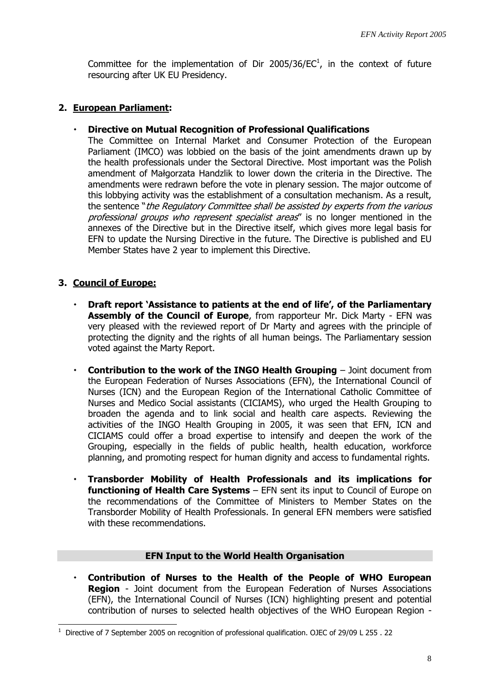Committee for the implementation of Dir 2005/36/ $EC<sup>1</sup>$ , in the context of future resourcing after UK EU Presidency.

# **2. European Parliament:**

## **Directive on Mutual Recognition of Professional Qualifications**

The Committee on Internal Market and Consumer Protection of the European Parliament (IMCO) was lobbied on the basis of the joint amendments drawn up by the health professionals under the Sectoral Directive. Most important was the Polish amendment of Małgorzata Handzlik to lower down the criteria in the Directive. The amendments were redrawn before the vote in plenary session. The major outcome of this lobbying activity was the establishment of a consultation mechanism. As a result, the sentence "the Regulatory Committee shall be assisted by experts from the various professional groups who represent specialist areas" is no longer mentioned in the annexes of the Directive but in the Directive itself, which gives more legal basis for EFN to update the Nursing Directive in the future. The Directive is published and EU Member States have 2 year to implement this Directive.

# **3. Council of Europe:**

 $\overline{a}$ 

- **Draft report 'Assistance to patients at the end of life', of the Parliamentary Assembly of the Council of Europe**, from rapporteur Mr. Dick Marty - EFN was very pleased with the reviewed report of Dr Marty and agrees with the principle of protecting the dignity and the rights of all human beings. The Parliamentary session voted against the Marty Report.
- **Contribution to the work of the INGO Health Grouping** Joint document from the European Federation of Nurses Associations (EFN), the International Council of Nurses (ICN) and the European Region of the International Catholic Committee of Nurses and Medico Social assistants (CICIAMS), who urged the Health Grouping to broaden the agenda and to link social and health care aspects. Reviewing the activities of the INGO Health Grouping in 2005, it was seen that EFN, ICN and CICIAMS could offer a broad expertise to intensify and deepen the work of the Grouping, especially in the fields of public health, health education, workforce planning, and promoting respect for human dignity and access to fundamental rights.
- **Transborder Mobility of Health Professionals and its implications for functioning of Health Care Systems** – EFN sent its input to Council of Europe on the recommendations of the Committee of Ministers to Member States on the Transborder Mobility of Health Professionals. In general EFN members were satisfied with these recommendations.

## **EFN Input to the World Health Organisation**

 **Contribution of Nurses to the Health of the People of WHO European Region** - Joint document from the European Federation of Nurses Associations (EFN), the International Council of Nurses (ICN) highlighting present and potential contribution of nurses to selected health objectives of the WHO European Region -

<sup>&</sup>lt;sup>1</sup> Directive of 7 September 2005 on recognition of professional qualification. OJEC of 29/09 L 255 . 22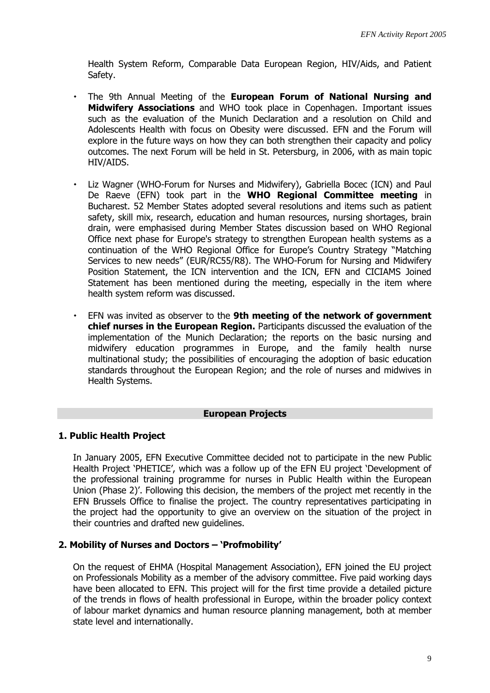Health System Reform, Comparable Data European Region, HIV/Aids, and Patient Safety.

- The 9th Annual Meeting of the **European Forum of National Nursing and Midwifery Associations** and WHO took place in Copenhagen. Important issues such as the evaluation of the Munich Declaration and a resolution on Child and Adolescents Health with focus on Obesity were discussed. EFN and the Forum will explore in the future ways on how they can both strengthen their capacity and policy outcomes. The next Forum will be held in St. Petersburg, in 2006, with as main topic HIV/AIDS.
- Liz Wagner (WHO-Forum for Nurses and Midwifery), Gabriella Bocec (ICN) and Paul De Raeve (EFN) took part in the **WHO Regional Committee meeting** in Bucharest. 52 Member States adopted several resolutions and items such as patient safety, skill mix, research, education and human resources, nursing shortages, brain drain, were emphasised during Member States discussion based on WHO Regional Office next phase for Europe's strategy to strengthen European health systems as a continuation of the WHO Regional Office for Europe's Country Strategy "Matching Services to new needs" (EUR/RC55/R8). The WHO-Forum for Nursing and Midwifery Position Statement, the ICN intervention and the ICN, EFN and CICIAMS Joined Statement has been mentioned during the meeting, especially in the item where health system reform was discussed.
- EFN was invited as observer to the **9th meeting of the network of government chief nurses in the European Region.** Participants discussed the evaluation of the implementation of the Munich Declaration; the reports on the basic nursing and midwifery education programmes in Europe, and the family health nurse multinational study; the possibilities of encouraging the adoption of basic education standards throughout the European Region; and the role of nurses and midwives in Health Systems.

## **European Projects**

## **1. Public Health Project**

In January 2005, EFN Executive Committee decided not to participate in the new Public Health Project 'PHETICE', which was a follow up of the EFN EU project 'Development of the professional training programme for nurses in Public Health within the European Union (Phase 2)'. Following this decision, the members of the project met recently in the EFN Brussels Office to finalise the project. The country representatives participating in the project had the opportunity to give an overview on the situation of the project in their countries and drafted new guidelines.

## **2. Mobility of Nurses and Doctors – 'Profmobility'**

On the request of EHMA (Hospital Management Association), EFN joined the EU project on Professionals Mobility as a member of the advisory committee. Five paid working days have been allocated to EFN. This project will for the first time provide a detailed picture of the trends in flows of health professional in Europe, within the broader policy context of labour market dynamics and human resource planning management, both at member state level and internationally.